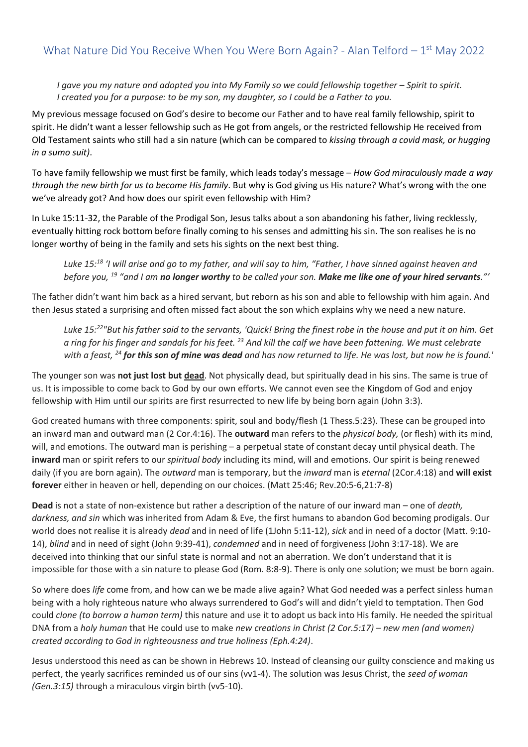*I* gave you my nature and adopted you into My Family so we could fellowship together – Spirit to spirit. *I created you for a purpose: to be my son, my daughter, so I could be a Father to you.*

My previous message focused on God's desire to become our Father and to have real family fellowship, spirit to spirit. He didn't want a lesser fellowship such as He got from angels, or the restricted fellowship He received from Old Testament saints who still had a sin nature (which can be compared to *kissing through a covid mask, or hugging in a sumo suit)*.

To have family fellowship we must first be family, which leads today's message – *How God miraculously made a way through the new birth for us to become His family*. But why is God giving us His nature? What's wrong with the one we've already got? And how does our spirit even fellowship with Him?

In Luke 15:11-32, the Parable of the Prodigal Son, Jesus talks about a son abandoning his father, living recklessly, eventually hitting rock bottom before finally coming to his senses and admitting his sin. The son realises he is no longer worthy of being in the family and sets his sights on the next best thing.

*Luke 15:<sup>18</sup> 'I will arise and go to my father, and will say to him, "Father, I have sinned against heaven and before you, <sup>19</sup> "and I am no longer worthy to be called your son. Make me like one of your hired servants."'*

The father didn't want him back as a hired servant, but reborn as his son and able to fellowship with him again. And then Jesus stated a surprising and often missed fact about the son which explains why we need a new nature.

*Luke 15:<sup>22</sup>"But his father said to the servants, 'Quick! Bring the finest robe in the house and put it on him. Get a ring for his finger and sandals for his feet. <sup>23</sup> And kill the calf we have been fattening. We must celebrate with a feast, <sup>24</sup> for this son of mine was dead and has now returned to life. He was lost, but now he is found.'* 

The younger son was **not just lost but dead**. Not physically dead, but spiritually dead in his sins. The same is true of us. It is impossible to come back to God by our own efforts. We cannot even see the Kingdom of God and enjoy fellowship with Him until our spirits are first resurrected to new life by being born again (John 3:3).

God created humans with three components: spirit, soul and body/flesh (1 Thess.5:23). These can be grouped into an inward man and outward man (2 Cor.4:16). The **outward** man refers to the *physical body,* (or flesh) with its mind, will, and emotions. The outward man is perishing – a perpetual state of constant decay until physical death. The **inward** man or spirit refers to our *spiritual body* including its mind, will and emotions. Our spirit is being renewed daily (if you are born again). The *outward* man is temporary, but the *inward* man is *eternal* (2Cor.4:18) and **will exist forever** either in heaven or hell, depending on our choices. (Matt 25:46; Rev.20:5-6,21:7-8)

**Dead** is not a state of non-existence but rather a description of the nature of our inward man – one of *death, darkness, and sin* which was inherited from Adam & Eve, the first humans to abandon God becoming prodigals. Our world does not realise it is already *dead* and in need of life (1John 5:11-12), *sick* and in need of a doctor (Matt. 9:10- 14), *blind* and in need of sight (John 9:39-41), *condemned* and in need of forgiveness (John 3:17-18). We are deceived into thinking that our sinful state is normal and not an aberration. We don't understand that it is impossible for those with a sin nature to please God (Rom. 8:8-9). There is only one solution; we must be born again.

So where does *life* come from, and how can we be made alive again? What God needed was a perfect sinless human being with a holy righteous nature who always surrendered to God's will and didn't yield to temptation. Then God could *clone (to borrow a human term)* this nature and use it to adopt us back into His family. He needed the spiritual DNA from a *holy human* that He could use to make *new creations in Christ (2 Cor.5:17) – new men (and women) created according to God in righteousness and true holiness (Eph.4:24)*.

Jesus understood this need as can be shown in Hebrews 10. Instead of cleansing our guilty conscience and making us perfect, the yearly sacrifices reminded us of our sins (vv1-4). The solution was Jesus Christ, the *seed of woman (Gen.3:15)* through a miraculous virgin birth (vv5-10).